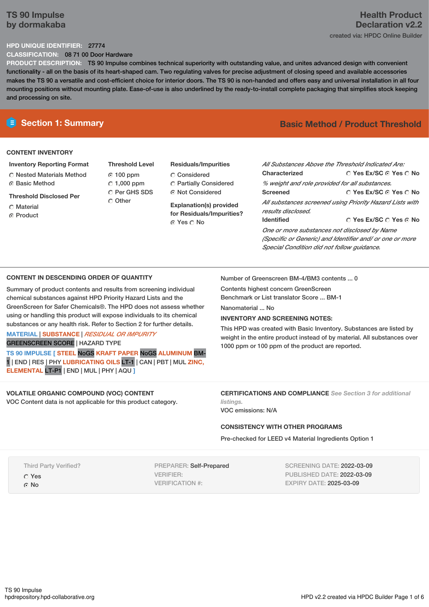## **TS 90 Impulse by dormakaba**

## **Health Product Declaration v2.2** created via: HPDC Online Builder

### **HPD UNIQUE IDENTIFIER:** 27774

**CLASSIFICATION:** 08 71 00 Door Hardware

**PRODUCT DESCRIPTION:** TS 90 Impulse combines technical superiority with outstanding value, and unites advanced design with convenient functionality - all on the basis of its heart-shaped cam. Two regulating valves for precise adjustment of closing speed and available accessories makes the TS 90 a versatile and cost-efficient choice for interior doors. The TS 90 is non-handed and offers easy and universal installation in all four mounting positions without mounting plate. Ease-of-use is also underlined by the ready-to-install complete packaging that simplifies stock keeping and processing on site.

#### **CONTENT INVENTORY**

- **Inventory Reporting Format** Nested Materials Method **C** Basic Method
- **Threshold Disclosed Per**
- C Material **C** Product
- **Threshold Level** 100 ppm  $C$  1,000 ppm C Per GHS SDS C Other
- **Residuals/Impurities** Considered
- Partially Considered Not Considered
- **Explanation(s) provided for Residuals/Impurities?** ⊙ Yes O No

# **E** Section 1: Summary **Basic** Method **/ Product Threshold**

| Characterized                                                                                            | All Substances Above the Threshold Indicated Are:<br>$\cap$ Yes Ex/SC $\cap$ Yes $\cap$ No |  |  |  |
|----------------------------------------------------------------------------------------------------------|--------------------------------------------------------------------------------------------|--|--|--|
| % weight and role provided for all substances.                                                           |                                                                                            |  |  |  |
| <b>Screened</b>                                                                                          | ○ Yes Ex/SC ⊙ Yes ○ No                                                                     |  |  |  |
| All substances screened using Priority Hazard Lists with<br>results disclosed.                           |                                                                                            |  |  |  |
| <b>Identified</b>                                                                                        | $\cap$ Yes Ex/SC $\cap$ Yes $\cap$ No                                                      |  |  |  |
| One or more substances not disclosed by Name<br>(Specific or Generic) and Identifier and/ or one or more |                                                                                            |  |  |  |

## **CONTENT IN DESCENDING ORDER OF QUANTITY**

Summary of product contents and results from screening individual chemical substances against HPD Priority Hazard Lists and the GreenScreen for Safer Chemicals®. The HPD does not assess whether using or handling this product will expose individuals to its chemical substances or any health risk. Refer to Section 2 for further details.

### **MATERIAL** | **SUBSTANCE** | *RESIDUAL OR IMPURITY* GREENSCREEN SCORE | HAZARD TYPE

**TS 90 IMPULSE [ STEEL** NoGS **KRAFT PAPER** NoGS **ALUMINUM** BM-1 | END | RES | PHY **LUBRICATING OILS** LT-1 | CAN | PBT | MUL **ZINC, ELEMENTAL** LT-P1 | END | MUL | PHY | AQU **]**

## **VOLATILE ORGANIC COMPOUND (VOC) CONTENT**

VOC Content data is not applicable for this product category.

Number of Greenscreen BM-4/BM3 contents ... 0

Contents highest concern GreenScreen Benchmark or List translator Score ... BM-1 Nanomaterial ... No

### **INVENTORY AND SCREENING NOTES:**

This HPD was created with Basic Inventory. Substances are listed by weight in the entire product instead of by material. All substances over 1000 ppm or 100 ppm of the product are reported.

*Special Condition did not follow guidance.*

**CERTIFICATIONS AND COMPLIANCE** *See Section 3 for additional listings.*

VOC emissions: N/A

### **CONSISTENCY WITH OTHER PROGRAMS**

Pre-checked for LEED v4 Material Ingredients Option 1

Third Party Verified?

Yes

G No

PREPARER: Self-Prepared VERIFIER: VERIFICATION #:

SCREENING DATE: 2022-03-09 PUBLISHED DATE: 2022-03-09 EXPIRY DATE: 2025-03-09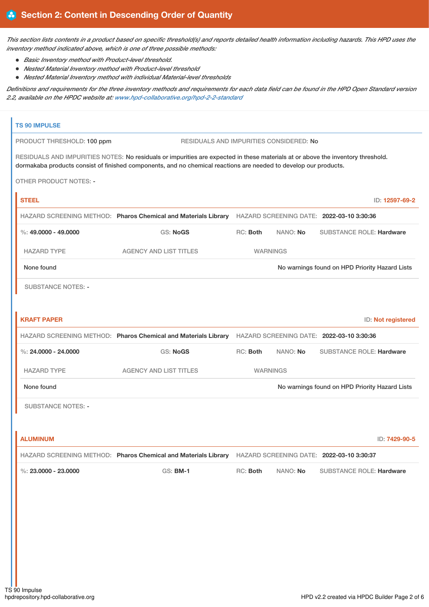This section lists contents in a product based on specific threshold(s) and reports detailed health information including hazards. This HPD uses the *inventory method indicated above, which is one of three possible methods:*

- *Basic Inventory method with Product-level threshold.*
- *Nested Material Inventory method with Product-level threshold*
- *Nested Material Inventory method with individual Material-level thresholds*

Definitions and requirements for the three inventory methods and requirements for each data field can be found in the HPD Open Standard version *2.2, available on the HPDC website at: [www.hpd-collaborative.org/hpd-2-2-standard](https://www.hpd-collaborative.org/hpd-2-2-standard)*

| RESIDUALS AND IMPURITIES NOTES: No residuals or impurities are expected in these materials at or above the inventory threshold. |
|---------------------------------------------------------------------------------------------------------------------------------|
|                                                                                                                                 |
| ID: 12597-69-2                                                                                                                  |
|                                                                                                                                 |
| <b>SUBSTANCE ROLE: Hardware</b>                                                                                                 |
|                                                                                                                                 |
| No warnings found on HPD Priority Hazard Lists                                                                                  |
|                                                                                                                                 |
| ID: Not registered                                                                                                              |
|                                                                                                                                 |
| <b>SUBSTANCE ROLE: Hardware</b>                                                                                                 |
|                                                                                                                                 |
| No warnings found on HPD Priority Hazard Lists                                                                                  |
|                                                                                                                                 |
| ID: 7429-90-5                                                                                                                   |
|                                                                                                                                 |
| <b>SUBSTANCE ROLE: Hardware</b>                                                                                                 |
|                                                                                                                                 |
|                                                                                                                                 |
|                                                                                                                                 |
|                                                                                                                                 |
|                                                                                                                                 |
|                                                                                                                                 |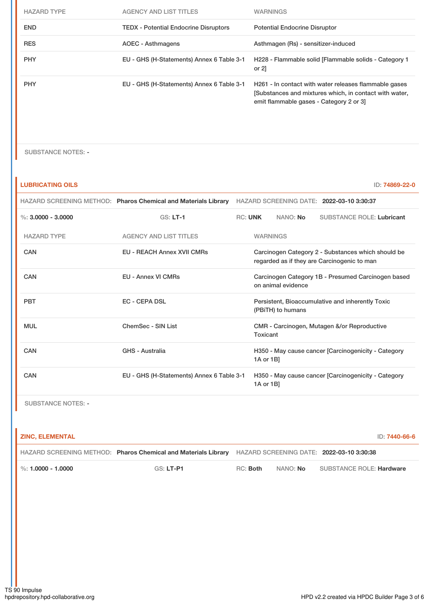| <b>HAZARD TYPE</b> | <b>AGENCY AND LIST TITLES</b>                | <b>WARNINGS</b>                                                                                                                                           |
|--------------------|----------------------------------------------|-----------------------------------------------------------------------------------------------------------------------------------------------------------|
| <b>END</b>         | <b>TEDX</b> - Potential Endocrine Disruptors | <b>Potential Endocrine Disruptor</b>                                                                                                                      |
| <b>RES</b>         | AOEC - Asthmagens                            | Asthmagen (Rs) - sensitizer-induced                                                                                                                       |
| <b>PHY</b>         | EU - GHS (H-Statements) Annex 6 Table 3-1    | H228 - Flammable solid [Flammable solids - Category 1<br>or $2$ ]                                                                                         |
| <b>PHY</b>         | EU - GHS (H-Statements) Annex 6 Table 3-1    | H261 - In contact with water releases flammable gases<br>[Substances and mixtures which, in contact with water,<br>emit flammable gases - Category 2 or 3 |

SUBSTANCE NOTES: -

| <b>LUBRICATING OILS</b> |                                                                |                                                                          |                                                                       |          | ID: 74869-22-0                                                                                    |  |
|-------------------------|----------------------------------------------------------------|--------------------------------------------------------------------------|-----------------------------------------------------------------------|----------|---------------------------------------------------------------------------------------------------|--|
|                         | HAZARD SCREENING METHOD: Pharos Chemical and Materials Library |                                                                          |                                                                       |          | HAZARD SCREENING DATE: 2022-03-10 3:30:37                                                         |  |
| %: $3.0000 - 3.0000$    | $GS: LT-1$                                                     | <b>RC: UNK</b>                                                           |                                                                       | NANO: No | <b>SUBSTANCE ROLE: Lubricant</b>                                                                  |  |
| <b>HAZARD TYPE</b>      | <b>AGENCY AND LIST TITLES</b>                                  |                                                                          | <b>WARNINGS</b>                                                       |          |                                                                                                   |  |
| CAN                     | <b>EU - REACH Annex XVII CMRs</b>                              |                                                                          |                                                                       |          | Carcinogen Category 2 - Substances which should be<br>regarded as if they are Carcinogenic to man |  |
| CAN                     | <b>EU - Annex VI CMRs</b>                                      | Carcinogen Category 1B - Presumed Carcinogen based<br>on animal evidence |                                                                       |          |                                                                                                   |  |
| <b>PBT</b>              | <b>EC - CEPA DSL</b>                                           |                                                                          | Persistent, Bioaccumulative and inherently Toxic<br>(PBiTH) to humans |          |                                                                                                   |  |
| <b>MUL</b>              | ChemSec - SIN List                                             |                                                                          | CMR - Carcinogen, Mutagen &/or Reproductive<br>Toxicant               |          |                                                                                                   |  |
| CAN                     | <b>GHS - Australia</b>                                         |                                                                          | H350 - May cause cancer [Carcinogenicity - Category<br>1A or 1B]      |          |                                                                                                   |  |
| CAN                     | EU - GHS (H-Statements) Annex 6 Table 3-1                      |                                                                          | 1A or 1B]                                                             |          | H350 - May cause cancer [Carcinogenicity - Category                                               |  |

SUBSTANCE NOTES: -

| <b>ZINC. ELEMENTAL</b>           |                                                                                                          |          |                 | ID: 7440-66-6                   |
|----------------------------------|----------------------------------------------------------------------------------------------------------|----------|-----------------|---------------------------------|
|                                  | HAZARD SCREENING METHOD: Pharos Chemical and Materials Library HAZARD SCREENING DATE: 2022-03-10 3:30:38 |          |                 |                                 |
| $\frac{1}{2}$ %: 1.0000 - 1.0000 | GS: LT-P1                                                                                                | RC: Both | NANO: <b>No</b> | <b>SUBSTANCE ROLE: Hardware</b> |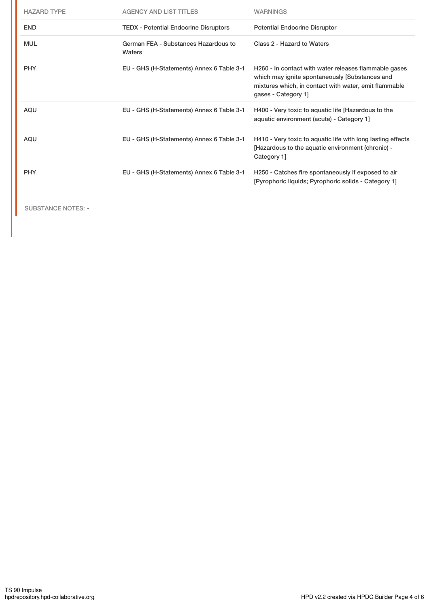| <b>HAZARD TYPE</b> | <b>AGENCY AND LIST TITLES</b>                  | <b>WARNINGS</b>                                                                                                                                                                         |
|--------------------|------------------------------------------------|-----------------------------------------------------------------------------------------------------------------------------------------------------------------------------------------|
| <b>END</b>         | <b>TEDX</b> - Potential Endocrine Disruptors   | <b>Potential Endocrine Disruptor</b>                                                                                                                                                    |
| <b>MUL</b>         | German FEA - Substances Hazardous to<br>Waters | Class 2 - Hazard to Waters                                                                                                                                                              |
| <b>PHY</b>         | EU - GHS (H-Statements) Annex 6 Table 3-1      | H260 - In contact with water releases flammable gases<br>which may ignite spontaneously [Substances and<br>mixtures which, in contact with water, emit flammable<br>gases - Category 1] |
| <b>AQU</b>         | EU - GHS (H-Statements) Annex 6 Table 3-1      | H400 - Very toxic to aquatic life [Hazardous to the<br>aquatic environment (acute) - Category 1]                                                                                        |
| <b>AQU</b>         | EU - GHS (H-Statements) Annex 6 Table 3-1      | H410 - Very toxic to aquatic life with long lasting effects<br>[Hazardous to the aquatic environment (chronic) -<br>Category 1]                                                         |
| <b>PHY</b>         | EU - GHS (H-Statements) Annex 6 Table 3-1      | H250 - Catches fire spontaneously if exposed to air<br>[Pyrophoric liquids; Pyrophoric solids - Category 1]                                                                             |
|                    |                                                |                                                                                                                                                                                         |

SUBSTANCE NOTES: -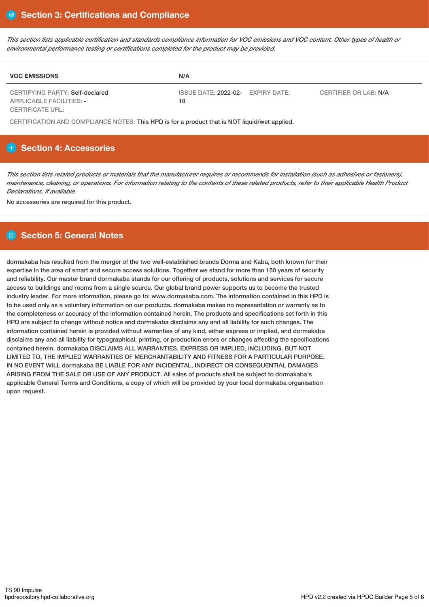This section lists applicable certification and standards compliance information for VOC emissions and VOC content. Other types of health or *environmental performance testing or certifications completed for the product may be provided.*

| <b>VOC EMISSIONS</b>                                               | N/A                                     |                       |
|--------------------------------------------------------------------|-----------------------------------------|-----------------------|
| CERTIFYING PARTY: Self-declared<br><b>APPLICABLE FACILITIES: -</b> | ISSUE DATE: 2022-02- EXPIRY DATE:<br>18 | CERTIFIER OR LAB: N/A |
| <b>CERTIFICATE URL:</b>                                            |                                         |                       |

CERTIFICATION AND COMPLIANCE NOTES: This HPD is for a product that is NOT liquid/wet applied.

## **Section 4: Accessories**

This section lists related products or materials that the manufacturer requires or recommends for installation (such as adhesives or fasteners), maintenance, cleaning, or operations. For information relating to the contents of these related products, refer to their applicable Health Product *Declarations, if available.*

No accessories are required for this product.

## **Section 5: General Notes**

dormakaba has resulted from the merger of the two well-established brands Dorma and Kaba, both known for their expertise in the area of smart and secure access solutions. Together we stand for more than 150 years of security and reliability. Our master brand dormakaba stands for our offering of products, solutions and services for secure access to buildings and rooms from a single source. Our global brand power supports us to become the trusted industry leader. For more information, please go to: www.dormakaba.com. The information contained in this HPD is to be used only as a voluntary information on our products. dormakaba makes no representation or warranty as to the completeness or accuracy of the information contained herein. The products and specifications set forth in this HPD are subject to change without notice and dormakaba disclaims any and all liability for such changes. The information contained herein is provided without warranties of any kind, either express or implied, and dormakaba disclaims any and all liability for typographical, printing, or production errors or changes affecting the specifications contained herein. dormakaba DISCLAIMS ALL WARRANTIES, EXPRESS OR IMPLIED, INCLUDING, BUT NOT LIMITED TO, THE IMPLIED WARRANTIES OF MERCHANTABILITY AND FITNESS FOR A PARTICULAR PURPOSE. IN NO EVENT WILL dormakaba BE LIABLE FOR ANY INCIDENTAL, INDIRECT OR CONSEQUENTIAL DAMAGES ARISING FROM THE SALE OR USE OF ANY PRODUCT. All sales of products shall be subject to dormakaba's applicable General Terms and Conditions, a copy of which will be provided by your local dormakaba organisation upon request.